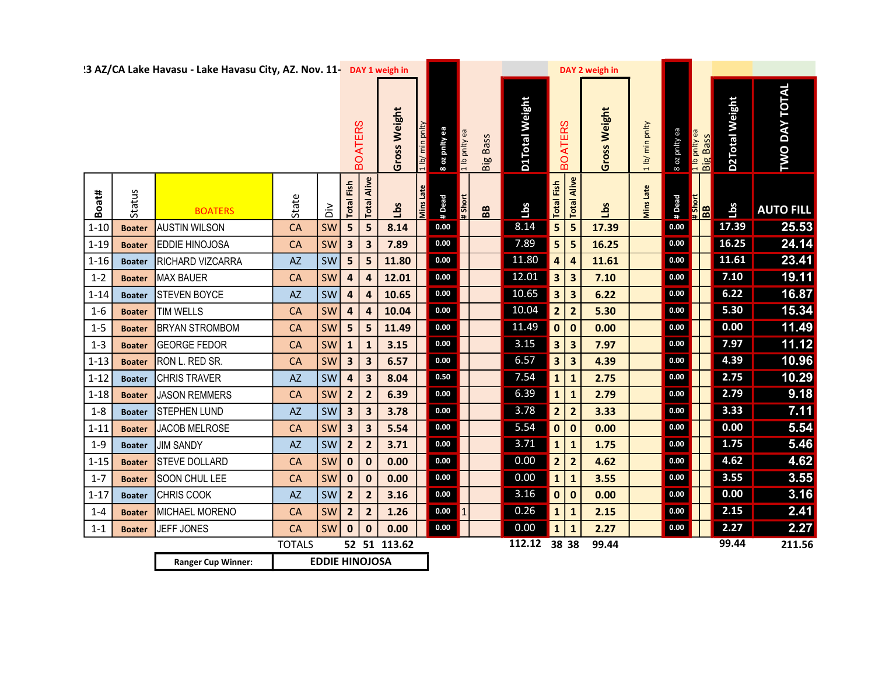|                                                    |                | '3 AZ/CA Lake Havasu - Lake Havasu City, AZ. Nov. 11- DAY 1 weigh in |               |                  |                         |                         |                            |                                    |                        |               |                 |                       |                          |                         | DAY 2 weigh in |                  |                     |                                                                                   |                |                      |  |
|----------------------------------------------------|----------------|----------------------------------------------------------------------|---------------|------------------|-------------------------|-------------------------|----------------------------|------------------------------------|------------------------|---------------|-----------------|-----------------------|--------------------------|-------------------------|----------------|------------------|---------------------|-----------------------------------------------------------------------------------|----------------|----------------------|--|
|                                                    | <b>BOATERS</b> |                                                                      |               |                  |                         |                         |                            |                                    |                        | a lb pnity ea | <b>Big Bass</b> | <b>D1Total Weight</b> |                          | <b>BOATERS</b>          | Gross Weight   | 1 lb/ min pnlty  | 8 oz pnity ea       | 1 Ib pnity ea<br>Big Bass                                                         | D2Total Weight | <b>TWO DAY TOTAL</b> |  |
| Boat#                                              | Status         | <b>BOATERS</b>                                                       | State         | $\sum_{i=1}^{n}$ | <b>Total Fish</b>       | Alive<br>Total          | Gross Weight<br><b>Lbs</b> | $\frac{1}{10}$<br><b>Mins Late</b> | 8 oz pnity ea<br>#Dead | #Short        | BB              | <b>Lbs</b>            | Total Fish               | <b>Total Alive</b>      | Lbs            | <b>Vins Late</b> | #Dead               | $\begin{array}{ c c }\n\hline\n\text{short} \\ \hline\n\text{nontr}\n\end{array}$ | Lbs            | <b>AUTO FILL</b>     |  |
| $1 - 10$                                           | <b>Boater</b>  | <b>AUSTIN WILSON</b>                                                 | CA            | SW               | 5                       | 5                       | 8.14                       |                                    | $0.00\,$               |               |                 | 8.14                  | $\overline{\mathbf{5}}$  | $\overline{\mathbf{5}}$ | 17.39          |                  | $0.00\,$            |                                                                                   | 17.39          | 25.53                |  |
| $1 - 19$                                           | <b>Boater</b>  | <b>EDDIE HINOJOSA</b>                                                | <b>CA</b>     | SW               | 3                       | $\overline{\mathbf{3}}$ | 7.89                       |                                    | 0.00                   |               |                 | 7.89                  | $5\phantom{a}$           | 5                       | 16.25          |                  | $0.00\,$            |                                                                                   | 16.25          | 24.14                |  |
| $1 - 16$                                           | <b>Boater</b>  | RICHARD VIZCARRA                                                     | AZ            | SW               | 5                       | 5                       | 11.80                      |                                    | 0.00                   |               |                 | 11.80                 | $\overline{\mathbf{4}}$  | $\overline{\mathbf{4}}$ | 11.61          |                  | $\boldsymbol{0.00}$ |                                                                                   | 11.61          | 23.41                |  |
| $1 - 2$                                            | <b>Boater</b>  | MAX BAUER                                                            | <b>CA</b>     | SW               | 4                       | 4                       | 12.01                      |                                    | 0.00                   |               |                 | 12.01                 | $\vert\vert$ 3           | $\overline{\mathbf{3}}$ | 7.10           |                  | $0.00\,$            |                                                                                   | 7.10           | 19.11                |  |
| $1 - 14$                                           | <b>Boater</b>  | <b>STEVEN BOYCE</b>                                                  | <b>AZ</b>     | SW               | 4                       | $\overline{\mathbf{r}}$ | 10.65                      |                                    | $0.00\,$               |               |                 | 10.65                 | 3 <sup>1</sup>           | $\overline{\mathbf{3}}$ | 6.22           |                  | $0.00\,$            |                                                                                   | 6.22           | 16.87                |  |
| $1 - 6$                                            | <b>Boater</b>  | <b>TIM WELLS</b>                                                     | <b>CA</b>     | SW               | 4                       | $\overline{\mathbf{r}}$ | 10.04                      |                                    | $0.00\,$               |               |                 | 10.04                 | $\vert\vert$ 2 $\vert$   | $\overline{\mathbf{2}}$ | 5.30           |                  | $0.00\,$            |                                                                                   | $5.30$         | 15.34                |  |
| $1 - 5$                                            | <b>Boater</b>  | <b>BRYAN STROMBOM</b>                                                | <b>CA</b>     | SW               | 5                       | 5                       | 11.49                      |                                    | $\bf 0.00$             |               |                 | 11.49                 | $\mathbf 0$              | $\mathbf 0$             | 0.00           |                  | $0.00\,$            |                                                                                   | 0.00           | 11.49                |  |
| $1 - 3$                                            | <b>Boater</b>  | <b>GEORGE FEDOR</b>                                                  | <b>CA</b>     | SW               | $\mathbf{1}$            | $\mathbf 1$             | 3.15                       |                                    | $0.00\,$               |               |                 | 3.15                  | $\vert$ 3                | $\overline{\mathbf{3}}$ | 7.97           |                  | 0.00                |                                                                                   | 7.97           | 11.12                |  |
| $1 - 13$                                           | <b>Boater</b>  | RON L. RED SR.                                                       | <b>CA</b>     | SW               | $\overline{\mathbf{3}}$ | 3                       | 6.57                       |                                    | $0.00\,$               |               |                 | 6.57                  | 3 <sup>1</sup>           | $\overline{\mathbf{3}}$ | 4.39           |                  | $0.00\,$            |                                                                                   | 4.39           | 10.96                |  |
| $1 - 12$                                           | <b>Boater</b>  | <b>CHRIS TRAVER</b>                                                  | <b>AZ</b>     | SW               | 4                       | $\overline{\mathbf{3}}$ | 8.04                       |                                    | $0.50\,$               |               |                 | 7.54                  | $\left(1\right)$         | $\mathbf{1}$            | 2.75           |                  | $0.00\,$            |                                                                                   | 2.75           | 10.29                |  |
| $1 - 18$                                           | <b>Boater</b>  | <b>JASON REMMERS</b>                                                 | <b>CA</b>     | SW               | $\overline{2}$          | $\overline{2}$          | 6.39                       |                                    | $0.00\,$               |               |                 | 6.39                  | $\mathbf{1}$             | $\mathbf 1$             | 2.79           |                  | $0.00\,$            |                                                                                   | 2.79           | 9.18                 |  |
| $1 - 8$                                            | <b>Boater</b>  | <b>STEPHEN LUND</b>                                                  | <b>AZ</b>     | SW               | $\overline{\mathbf{3}}$ | $\overline{\mathbf{3}}$ | 3.78                       |                                    | $0.00\,$               |               |                 | 3.78                  | $\overline{2}$           | $\overline{2}$          | 3.33           |                  | $0.00\,$            |                                                                                   | 3.33           | 7.11                 |  |
| $1 - 11$                                           | <b>Boater</b>  | JACOB MELROSE                                                        | <b>CA</b>     | SW               | 3                       | 3                       | 5.54                       |                                    | $0.00\,$               |               |                 | 5.54                  | $\mathbf 0$              | $\pmb{0}$               | 0.00           |                  | $\boldsymbol{0.00}$ |                                                                                   | 0.00           | 5.54                 |  |
| $1 - 9$                                            | <b>Boater</b>  | <b>JIM SANDY</b>                                                     | <b>AZ</b>     | SW               | $\mathbf{2}$            | $\overline{2}$          | 3.71                       |                                    | $0.00\,$               |               |                 | 3.71                  | $\mathbf 1$              | $\mathbf 1$             | 1.75           |                  | $\boldsymbol{0.00}$ |                                                                                   | 1.75           | 5.46                 |  |
| $1 - 15$                                           | <b>Boater</b>  | <b>STEVE DOLLARD</b>                                                 | <b>CA</b>     | SW               | $\mathbf 0$             | $\boldsymbol{0}$        | 0.00                       |                                    | 0.00                   |               |                 | 0.00                  | $\overline{2}$           | $\overline{\mathbf{c}}$ | 4.62           |                  | $0.00\,$            |                                                                                   | 4.62           | 4.62                 |  |
| $1 - 7$                                            | <b>Boater</b>  | SOON CHUL LEE                                                        | <b>CA</b>     | SW               | $\pmb{0}$               | $\mathbf 0$             | 0.00                       |                                    | $0.00\,$               |               |                 | 0.00                  | $\mathbf{1}$             | $\mathbf 1$             | 3.55           |                  | $0.00\,$            |                                                                                   | 3.55           | 3.55                 |  |
| $1 - 17$                                           | <b>Boater</b>  | <b>CHRIS COOK</b>                                                    | AZ            | SW               | $\mathbf{2}$            | $\overline{2}$          | 3.16                       |                                    | 0.00                   |               |                 | 3.16                  | $\overline{\phantom{a}}$ | $\mathbf 0$             | 0.00           |                  | 0.00                |                                                                                   | 0.00           | 3.16                 |  |
| $1 - 4$                                            | <b>Boater</b>  | MICHAEL MORENO                                                       | <b>CA</b>     | SW               | $\overline{2}$          | $\overline{2}$          | 1.26                       |                                    | 0.00                   | $\vert$ 1     |                 | 0.26                  | $\mathbf 1$              | $\mathbf{1}$            | 2.15           |                  | $0.00\,$            |                                                                                   | 2.15           | 2.41                 |  |
| $1 - 1$                                            | <b>Boater</b>  | JEFF JONES                                                           | CA            | <b>SW</b>        | $\mathbf 0$             | $\mathbf{0}$            | 0.00                       |                                    | 0.00                   |               |                 | 0.00                  | $\vert 1 \vert$          | $\mathbf{1}$            | 2.27           |                  | 0.00                |                                                                                   | 2.27           | 2.27                 |  |
|                                                    |                |                                                                      | <b>TOTALS</b> |                  |                         |                         | 52 51 113.62               |                                    |                        |               |                 | 112.12                |                          | 38 38                   | 99.44          |                  |                     |                                                                                   | 99.44          | 211.56               |  |
| <b>EDDIE HINOJOSA</b><br><b>Ranger Cup Winner:</b> |                |                                                                      |               |                  |                         |                         |                            |                                    |                        |               |                 |                       |                          |                         |                |                  |                     |                                                                                   |                |                      |  |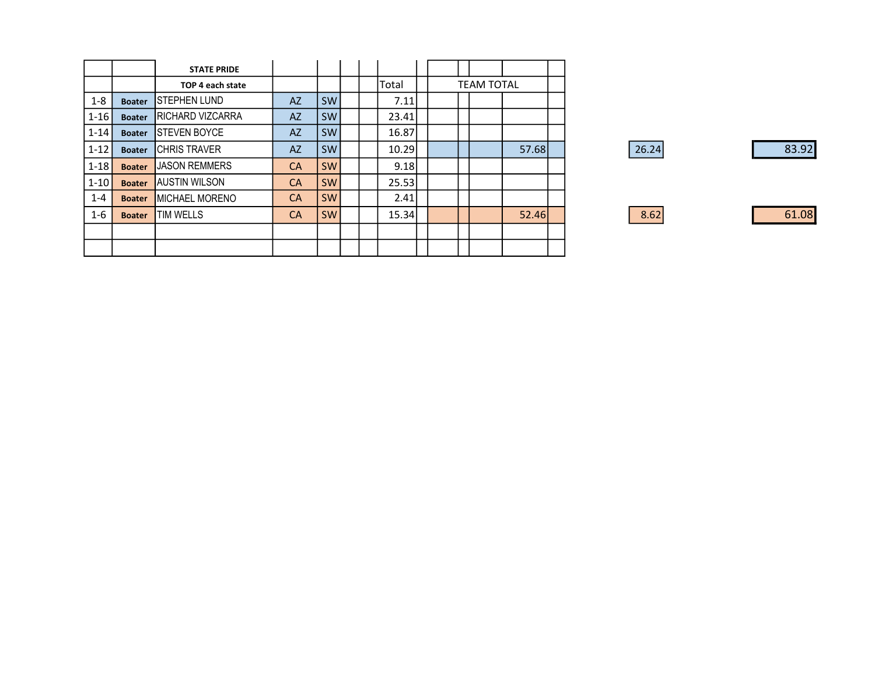|          |               | <b>STATE PRIDE</b>      |           |           |  |       |  |                   |       |       |  |
|----------|---------------|-------------------------|-----------|-----------|--|-------|--|-------------------|-------|-------|--|
|          |               | TOP 4 each state        |           |           |  | Total |  | <b>TEAM TOTAL</b> |       |       |  |
| $1 - 8$  | <b>Boater</b> | <b>STEPHEN LUND</b>     | <b>AZ</b> | <b>SW</b> |  | 7.11  |  |                   |       |       |  |
| $1-16$   | <b>Boater</b> | <b>RICHARD VIZCARRA</b> | <b>AZ</b> | <b>SW</b> |  | 23.41 |  |                   |       |       |  |
| $1 - 14$ | <b>Boater</b> | <b>ISTEVEN BOYCE</b>    | <b>AZ</b> | <b>SW</b> |  | 16.87 |  |                   |       |       |  |
| $1 - 12$ | <b>Boater</b> | <b>CHRIS TRAVER</b>     | <b>AZ</b> | <b>SW</b> |  | 10.29 |  |                   | 57.68 | 26.24 |  |
| $1 - 18$ | <b>Boater</b> | JASON REMMERS           | <b>CA</b> | <b>SW</b> |  | 9.18  |  |                   |       |       |  |
| $1-10$   | <b>Boater</b> | <b>AUSTIN WILSON</b>    | <b>CA</b> | <b>SW</b> |  | 25.53 |  |                   |       |       |  |
| $1 - 4$  | <b>Boater</b> | <b>MICHAEL MORENO</b>   | <b>CA</b> | <b>SW</b> |  | 2.41  |  |                   |       |       |  |
| $1 - 6$  | <b>Boater</b> | <b>TIM WELLS</b>        | <b>CA</b> | <b>SW</b> |  | 15.34 |  |                   | 52.46 | 8.62  |  |
|          |               |                         |           |           |  |       |  |                   |       |       |  |
|          |               |                         |           |           |  |       |  |                   |       |       |  |

| 83.92 |
|-------|
|       |
|       |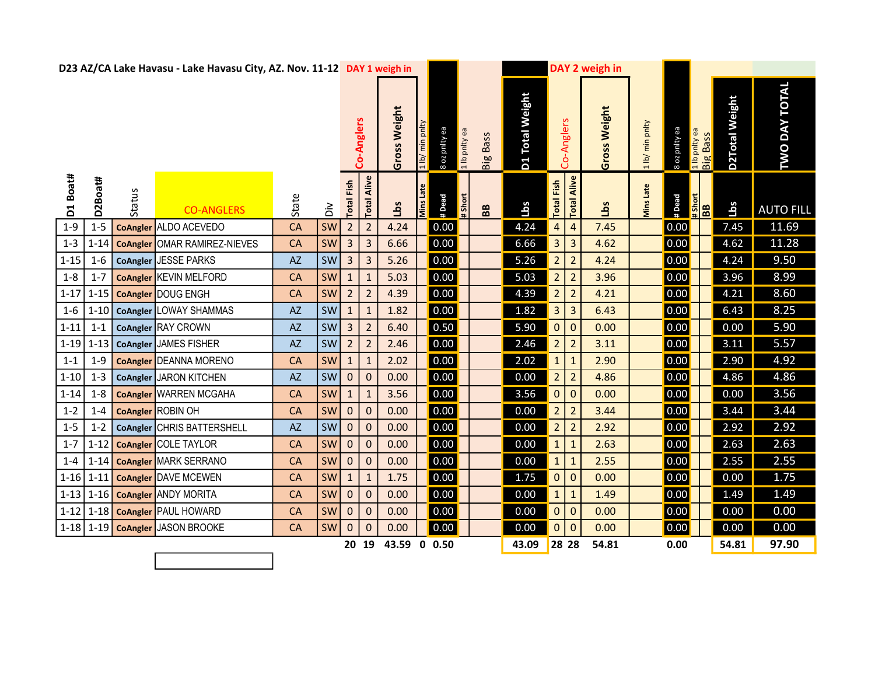| D23 AZ/CA Lake Havasu - Lake Havasu City, AZ. Nov. 11-12 DAY 1 weigh in |          |        |                                     |               |           |                |                         |                 |                                |                                |                 |                 |                |                         | DAY 2 weigh in |                           |              |                              |                       |                      |  |
|-------------------------------------------------------------------------|----------|--------|-------------------------------------|---------------|-----------|----------------|-------------------------|-----------------|--------------------------------|--------------------------------|-----------------|-----------------|----------------|-------------------------|----------------|---------------------------|--------------|------------------------------|-----------------------|----------------------|--|
|                                                                         |          |        |                                     |               |           |                | Co-Anglers              | Weight<br>Gross | $\frac{1}{2}$<br>$\frac{1}{b}$ | 8 oz pnity ea<br>1 lb pnlty ea | <b>Big Bass</b> | D1 Total Weight |                | Co-Anglers              | Gross Weight   | min pnlty<br>$\sqrt{q 1}$ | ee Aqud zo 8 | 1 lb pnity ea<br>Big Bass    | <b>D2Total Weight</b> | <b>TWO DAY TOTAL</b> |  |
| Boat#<br>ដ                                                              | D2Boat#  | Status | <b>CO-ANGLERS</b>                   | State         | òί        | Fish<br>Total  | Alive<br>Total          | <u>aq</u>       | Mins Late                      | #Dead<br>#Short                | B <sub>B</sub>  | <b>B</b>        | Fish<br>Total  | Alive<br>Total          | <b>Sq7</b>     | <b>Ains Late</b>          | #Dead        | $\frac{4 \text{ short}}{BB}$ | Lbs                   | <b>AUTO FILL</b>     |  |
| $1 - 9$                                                                 | $1 - 5$  |        | <b>CoAngler ALDO ACEVEDO</b>        | <b>CA</b>     | SW        | $\overline{2}$ | $\overline{2}$          | 4.24            |                                | 0.00                           |                 | 4.24            | $\overline{a}$ | $\overline{a}$          | 7.45           |                           | 0.00         |                              | 7.45                  | 11.69                |  |
| $1 - 3$                                                                 | $1 - 14$ |        | <b>CoAngler OMAR RAMIREZ-NIEVES</b> | <b>CA</b>     | SW        | 3 <sup>1</sup> | $\overline{\mathbf{3}}$ | 6.66            |                                | 0.00                           |                 | 6.66            | 3 <sup>1</sup> | $\overline{\mathbf{3}}$ | 4.62           |                           | 0.00         |                              | 4.62                  | 11.28                |  |
| $1 - 15$                                                                | $1 - 6$  |        | CoAngler JESSE PARKS                | <b>AZ</b>     | SW        | 3.             | $\overline{3}$          | 5.26            |                                | 0.00                           |                 | 5.26            | 2              | $\overline{2}$          | 4.24           |                           | 0.00         |                              | 4.24                  | 9.50                 |  |
| $1 - 8$                                                                 | $1 - 7$  |        | <b>CoAngler KEVIN MELFORD</b>       | <b>CA</b>     | SW        | $\mathbf{1}$   | $\mathbf{1}$            | 5.03            |                                | 0.00                           |                 | 5.03            | 2              | $\overline{2}$          | 3.96           |                           | 0.00         |                              | 3.96                  | 8.99                 |  |
| $1 - 17$                                                                | $1 - 15$ |        | <b>CoAngler DOUG ENGH</b>           | <b>CA</b>     | SW        | $2^{\circ}$    | $\overline{2}$          | 4.39            |                                | 0.00                           |                 | 4.39            | $\overline{2}$ | $\overline{2}$          | 4.21           |                           | 0.00         |                              | 4.21                  | 8.60                 |  |
| $1 - 6$                                                                 |          |        | 1-10   CoAngler LOWAY SHAMMAS       | <b>AZ</b>     | SW        | $\mathbf{1}$   | $\mathbf{1}$            | 1.82            |                                | 0.00                           |                 | 1.82            | $\mathbf{3}$   | $\overline{3}$          | 6.43           |                           | 0.00         |                              | 6.43                  | 8.25                 |  |
| $1 - 11$                                                                | $1 - 1$  |        | CoAngler RAY CROWN                  | AZ            | SW        | $\mathbf{3}$   | $\overline{2}$          | 6.40            |                                | 0.50                           |                 | 5.90            | $\mathbf{0}$   | $\mathbf 0$             | 0.00           |                           | 0.00         |                              | 0.00                  | 5.90                 |  |
| $1 - 19$                                                                |          |        | 1-13   CoAngler JAMES FISHER        | AZ            | <b>SW</b> | $\overline{2}$ | $\overline{2}$          | 2.46            |                                | 0.00                           |                 | 2.46            | 2 <sup>2</sup> | $\overline{2}$          | 3.11           |                           | 0.00         |                              | 3.11                  | 5.57                 |  |
| $1 - 1$                                                                 | $1 - 9$  |        | <b>CoAngler</b> DEANNA MORENO       | <b>CA</b>     | SW        | $\mathbf{1}$   | $\mathbf{1}$            | 2.02            |                                | 0.00                           |                 | 2.02            | $\mathbf{1}$   | $\mathbf{1}$            | 2.90           |                           | 0.00         |                              | 2.90                  | 4.92                 |  |
| $1 - 10$                                                                | $1 - 3$  |        | CoAngler JARON KITCHEN              | $\mathsf{AZ}$ | SW        | $\mathbf{0}$   | $\mathbf 0$             | 0.00            |                                | 0.00                           |                 | 0.00            | 2 <sup>2</sup> | $\overline{2}$          | 4.86           |                           | 0.00         |                              | 4.86                  | 4.86                 |  |
| $1 - 14$                                                                | $1 - 8$  |        | <b>CoAngler</b> WARREN MCGAHA       | <b>CA</b>     | SW        | $\mathbf{1}$   | $\mathbf{1}$            | 3.56            |                                | 0.00                           |                 | 3.56            | $\overline{0}$ | $\mathbf 0$             | 0.00           |                           | 0.00         |                              | 0.00                  | 3.56                 |  |
| $1 - 2$                                                                 | $1 - 4$  |        | <b>CoAngler</b> ROBIN OH            | <b>CA</b>     | SW        | $\mathbf{0}$   | $\mathbf 0$             | 0.00            |                                | 0.00                           |                 | 0.00            | $2^{\circ}$    | $\overline{2}$          | 3.44           |                           | 0.00         |                              | 3.44                  | 3.44                 |  |
| $1-5$                                                                   | $1 - 2$  |        | CoAngler CHRIS BATTERSHELL          | <b>AZ</b>     | SW        | $\mathbf{0}$   | $\overline{0}$          | 0.00            |                                | 0.00                           |                 | 0.00            | $\overline{2}$ | $\overline{2}$          | 2.92           |                           | 0.00         |                              | 2.92                  | 2.92                 |  |
| $1 - 7$                                                                 | $1 - 12$ |        | <b>CoAngler COLE TAYLOR</b>         | <b>CA</b>     | SW        | $\mathbf 0$    | $\mathbf 0$             | 0.00            |                                | 0.00                           |                 | 0.00            | $\mathbf{1}$   | $\mathbf{1}$            | 2.63           |                           | 0.00         |                              | 2.63                  | 2.63                 |  |
| $1 - 4$                                                                 |          |        | 1-14 CoAngler MARK SERRANO          | <b>CA</b>     | SW        | $\overline{0}$ | $\overline{0}$          | 0.00            |                                | 0.00                           |                 | 0.00            | $1\vert$       | $\mathbf{1}$            | 2.55           |                           | 0.00         |                              | 2.55                  | 2.55                 |  |
|                                                                         |          |        | 1-16 1-11   CoAngler DAVE MCEWEN    | <b>CA</b>     | SW        | $\mathbf{1}$   | $\mathbf{1}$            | 1.75            |                                | 0.00                           |                 | 1.75            | 0 0            |                         | 0.00           |                           | 0.00         |                              | 0.00                  | 1.75                 |  |
|                                                                         |          |        | 1-13 1-16 CoAngler ANDY MORITA      | <b>CA</b>     | SW        | $\mathbf{0}$   | $\overline{0}$          | 0.00            |                                | 0.00                           |                 | 0.00            | $\mathbf{1}$   | $\mathbf{1}$            | 1.49           |                           | 0.00         |                              | 1.49                  | 1.49                 |  |
|                                                                         |          |        | 1-12 1-18   CoAngler PAUL HOWARD    | <b>CA</b>     | SW        | $\mathbf{0}$   | $\mathbf 0$             | 0.00            |                                | 0.00                           |                 | 0.00            | 0 0            |                         | 0.00           |                           | 0.00         |                              | 0.00                  | 0.00                 |  |
|                                                                         |          |        | 1-18 1-19   CoAngler JASON BROOKE   | <b>CA</b>     | SW        | $\mathbf{0}$   | $\mathbf 0$             | 0.00            |                                | 0.00                           |                 | 0.00            | $\mathbf{0}$   | $\overline{0}$          | 0.00           |                           | 0.00         |                              | 0.00                  | 0.00                 |  |
|                                                                         |          |        |                                     |               |           |                | 20 19                   | 43.59 0 0.50    |                                |                                |                 | 43.09           | 28 28          |                         | 54.81          |                           | 0.00         |                              | 54.81                 | 97.90                |  |